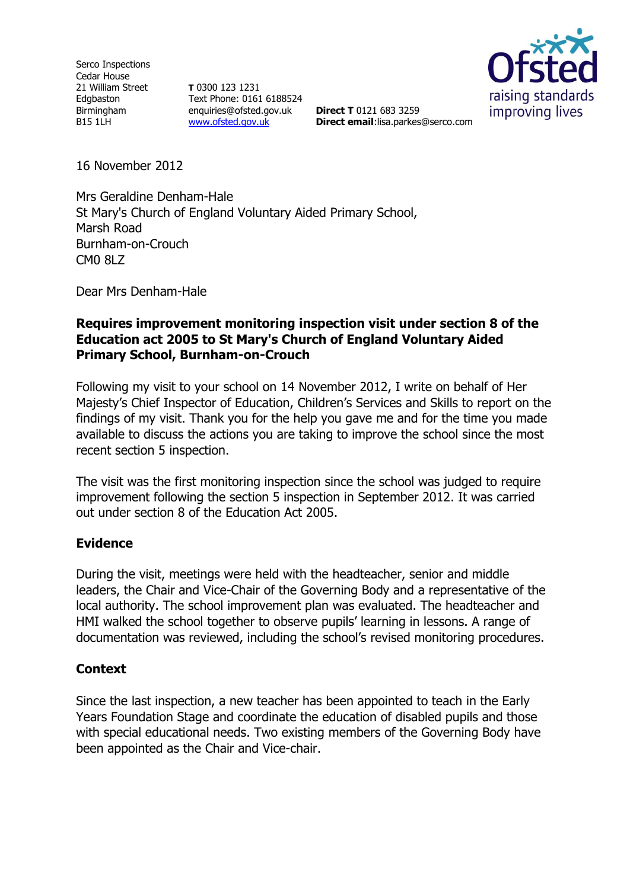Serco Inspections Cedar House 21 William Street Edgbaston Birmingham B15 1LH

**T** 0300 123 1231 Text Phone: 0161 6188524 enquiries@ofsted.gov.uk [www.ofsted.gov.uk](http://www.ofsted.gov.uk/)



**Direct T** 0121 683 3259 **Direct email**:lisa.parkes@serco.com

16 November 2012

Mrs Geraldine Denham-Hale St Mary's Church of England Voluntary Aided Primary School, Marsh Road Burnham-on-Crouch CM0 8LZ

Dear Mrs Denham-Hale

# **Requires improvement monitoring inspection visit under section 8 of the Education act 2005 to St Mary's Church of England Voluntary Aided Primary School, Burnham-on-Crouch**

Following my visit to your school on 14 November 2012, I write on behalf of Her Majesty's Chief Inspector of Education, Children's Services and Skills to report on the findings of my visit. Thank you for the help you gave me and for the time you made available to discuss the actions you are taking to improve the school since the most recent section 5 inspection.

The visit was the first monitoring inspection since the school was judged to require improvement following the section 5 inspection in September 2012. It was carried out under section 8 of the Education Act 2005.

## **Evidence**

During the visit, meetings were held with the headteacher, senior and middle leaders, the Chair and Vice-Chair of the Governing Body and a representative of the local authority. The school improvement plan was evaluated. The headteacher and HMI walked the school together to observe pupils' learning in lessons. A range of documentation was reviewed, including the school's revised monitoring procedures.

## **Context**

Since the last inspection, a new teacher has been appointed to teach in the Early Years Foundation Stage and coordinate the education of disabled pupils and those with special educational needs. Two existing members of the Governing Body have been appointed as the Chair and Vice-chair.